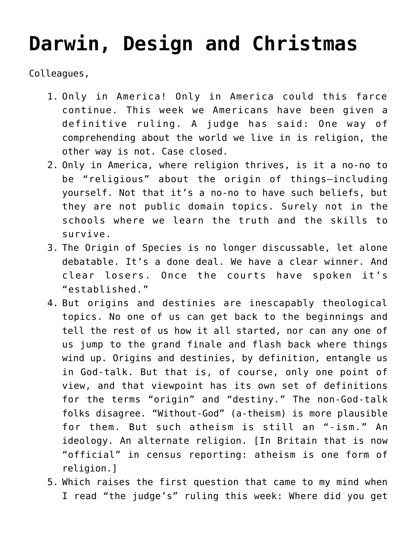## **[Darwin, Design and Christmas](https://crossings.org/darwin-design-and-christmas/)**

Colleagues,

- 1. Only in America! Only in America could this farce continue. This week we Americans have been given a definitive ruling. A judge has said: One way of comprehending about the world we live in is religion, the other way is not. Case closed.
- 2. Only in America, where religion thrives, is it a no-no to be "religious" about the origin of things–including yourself. Not that it's a no-no to have such beliefs, but they are not public domain topics. Surely not in the schools where we learn the truth and the skills to survive.
- 3. The Origin of Species is no longer discussable, let alone debatable. It's a done deal. We have a clear winner. And clear losers. Once the courts have spoken it's "established."
- 4. But origins and destinies are inescapably theological topics. No one of us can get back to the beginnings and tell the rest of us how it all started, nor can any one of us jump to the grand finale and flash back where things wind up. Origins and destinies, by definition, entangle us in God-talk. But that is, of course, only one point of view, and that viewpoint has its own set of definitions for the terms "origin" and "destiny." The non-God-talk folks disagree. "Without-God" (a-theism) is more plausible for them. But such atheism is still an "-ism." An ideology. An alternate religion. [In Britain that is now "official" in census reporting: atheism is one form of religion.]
- 5. Which raises the first question that came to my mind when I read "the judge's" ruling this week: Where did you get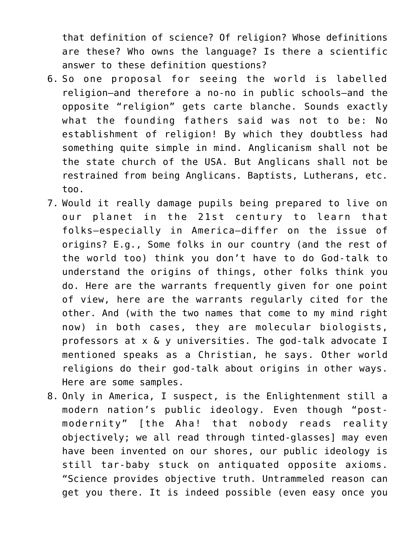that definition of science? Of religion? Whose definitions are these? Who owns the language? Is there a scientific answer to these definition questions?

- 6. So one proposal for seeing the world is labelled religion–and therefore a no-no in public schools–and the opposite "religion" gets carte blanche. Sounds exactly what the founding fathers said was not to be: No establishment of religion! By which they doubtless had something quite simple in mind. Anglicanism shall not be the state church of the USA. But Anglicans shall not be restrained from being Anglicans. Baptists, Lutherans, etc. too.
- 7. Would it really damage pupils being prepared to live on our planet in the 21st century to learn that folks–especially in America–differ on the issue of origins? E.g., Some folks in our country (and the rest of the world too) think you don't have to do God-talk to understand the origins of things, other folks think you do. Here are the warrants frequently given for one point of view, here are the warrants regularly cited for the other. And (with the two names that come to my mind right now) in both cases, they are molecular biologists, professors at x & y universities. The god-talk advocate I mentioned speaks as a Christian, he says. Other world religions do their god-talk about origins in other ways. Here are some samples.
- 8. Only in America, I suspect, is the Enlightenment still a modern nation's public ideology. Even though "postmodernity" [the Aha! that nobody reads reality objectively; we all read through tinted-glasses] may even have been invented on our shores, our public ideology is still tar-baby stuck on antiquated opposite axioms. "Science provides objective truth. Untrammeled reason can get you there. It is indeed possible (even easy once you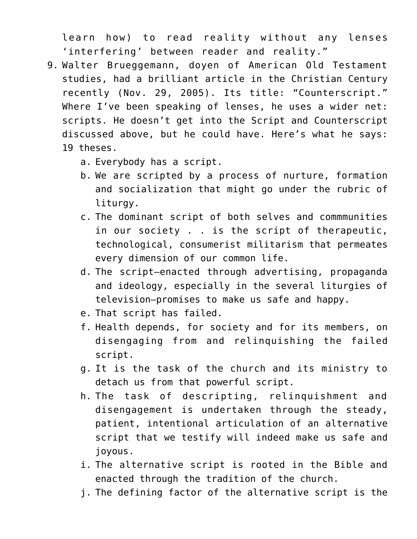learn how) to read reality without any lenses 'interfering' between reader and reality."

- 9. Walter Brueggemann, doyen of American Old Testament studies, had a brilliant article in the Christian Century recently (Nov. 29, 2005). Its title: "Counterscript." Where I've been speaking of lenses, he uses a wider net: scripts. He doesn't get into the Script and Counterscript discussed above, but he could have. Here's what he says: 19 theses.
	- a. Everybody has a script.
	- b. We are scripted by a process of nurture, formation and socialization that might go under the rubric of liturgy.
	- c. The dominant script of both selves and commmunities in our society . . is the script of therapeutic, technological, consumerist militarism that permeates every dimension of our common life.
	- d. The script–enacted through advertising, propaganda and ideology, especially in the several liturgies of television–promises to make us safe and happy.
	- e. That script has failed.
	- f. Health depends, for society and for its members, on disengaging from and relinquishing the failed script.
	- g. It is the task of the church and its ministry to detach us from that powerful script.
	- h. The task of descripting, relinquishment and disengagement is undertaken through the steady, patient, intentional articulation of an alternative script that we testify will indeed make us safe and joyous.
	- i. The alternative script is rooted in the Bible and enacted through the tradition of the church.
	- j. The defining factor of the alternative script is the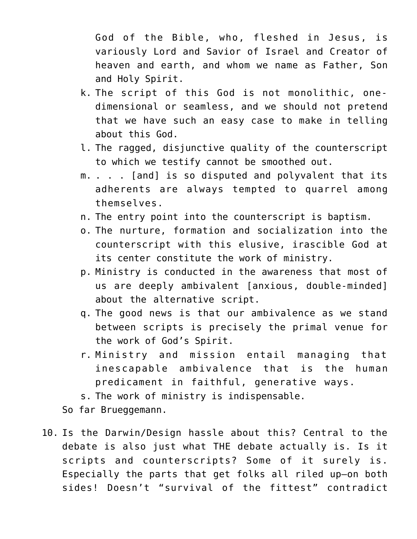God of the Bible, who, fleshed in Jesus, is variously Lord and Savior of Israel and Creator of heaven and earth, and whom we name as Father, Son and Holy Spirit.

- k. The script of this God is not monolithic, onedimensional or seamless, and we should not pretend that we have such an easy case to make in telling about this God.
- l. The ragged, disjunctive quality of the counterscript to which we testify cannot be smoothed out.
- m. . . . [and] is so disputed and polyvalent that its adherents are always tempted to quarrel among themselves.
- n. The entry point into the counterscript is baptism.
- o. The nurture, formation and socialization into the counterscript with this elusive, irascible God at its center constitute the work of ministry.
- p. Ministry is conducted in the awareness that most of us are deeply ambivalent [anxious, double-minded] about the alternative script.
- q. The good news is that our ambivalence as we stand between scripts is precisely the primal venue for the work of God's Spirit.
- r. Ministry and mission entail managing that inescapable ambivalence that is the human predicament in faithful, generative ways.
- s. The work of ministry is indispensable.

So far Brueggemann.

10. Is the Darwin/Design hassle about this? Central to the debate is also just what THE debate actually is. Is it scripts and counterscripts? Some of it surely is. Especially the parts that get folks all riled up–on both sides! Doesn't "survival of the fittest" contradict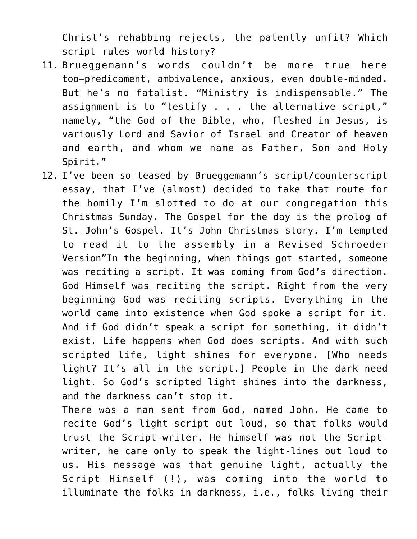Christ's rehabbing rejects, the patently unfit? Which script rules world history?

- 11. Brueggemann's words couldn't be more true here too–predicament, ambivalence, anxious, even double-minded. But he's no fatalist. "Ministry is indispensable." The assignment is to "testify . . . the alternative script," namely, "the God of the Bible, who, fleshed in Jesus, is variously Lord and Savior of Israel and Creator of heaven and earth, and whom we name as Father, Son and Holy Spirit."
- 12. I've been so teased by Brueggemann's script/counterscript essay, that I've (almost) decided to take that route for the homily I'm slotted to do at our congregation this Christmas Sunday. The Gospel for the day is the prolog of St. John's Gospel. It's John Christmas story. I'm tempted to read it to the assembly in a Revised Schroeder Version"In the beginning, when things got started, someone was reciting a script. It was coming from God's direction. God Himself was reciting the script. Right from the very beginning God was reciting scripts. Everything in the world came into existence when God spoke a script for it. And if God didn't speak a script for something, it didn't exist. Life happens when God does scripts. And with such scripted life, light shines for everyone. [Who needs light? It's all in the script.] People in the dark need light. So God's scripted light shines into the darkness, and the darkness can't stop it.

There was a man sent from God, named John. He came to recite God's light-script out loud, so that folks would trust the Script-writer. He himself was not the Scriptwriter, he came only to speak the light-lines out loud to us. His message was that genuine light, actually the Script Himself (!), was coming into the world to illuminate the folks in darkness, i.e., folks living their